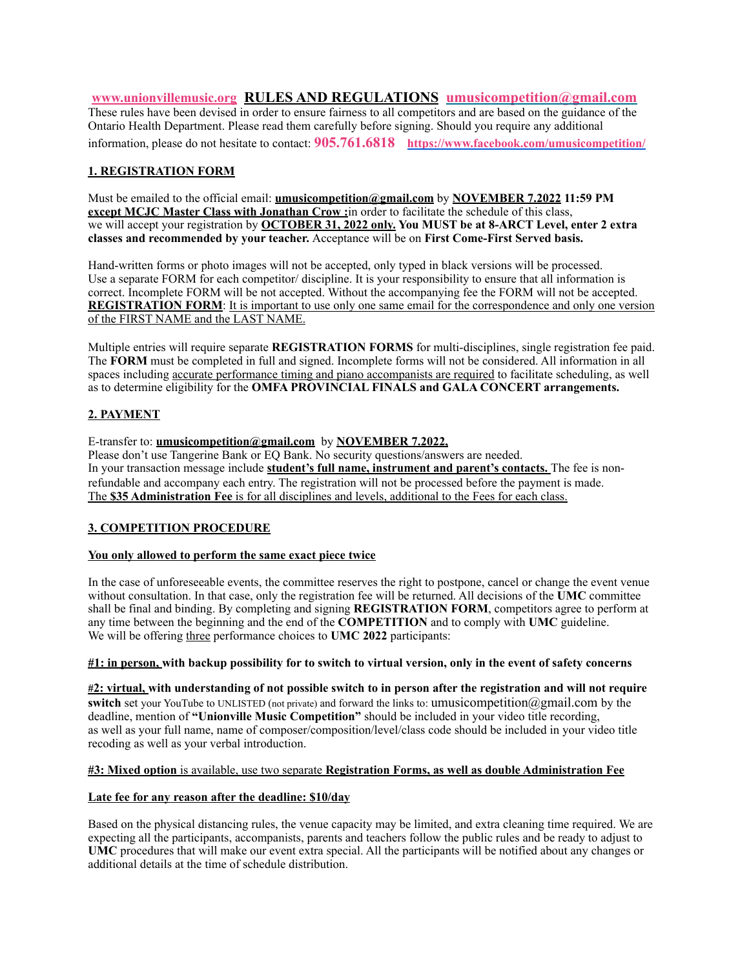**[www.unionvillemusic.org](http://www.unionvillemusic.org) RULES AND REGULATIONS [umusicompetition@gmail.com](mailto:umusicompetition@gmail.com)** These rules have been devised in order to ensure fairness to all competitors and are based on the guidance of the Ontario Health Department. Please read them carefully before signing. Should you require any additional information, please do not hesitate to contact: **905.761.6818 <https://www.facebook.com/umusicompetition/>**

## **1. REGISTRATION FORM**

Must be emailed to the official email: **umusicompetition@gmail.com** by **NOVEMBER 7.2022 11:59 PM except MCJC Master Class with Jonathan Crow :** in order to facilitate the schedule of this class, we will accept your registration by **OCTOBER 31, 2022 only. You MUST be at 8-ARCT Level, enter 2 extra classes and recommended by your teacher.** Acceptance will be on **First Come-First Served basis.**

Hand-written forms or photo images will not be accepted, only typed in black versions will be processed. Use a separate FORM for each competitor/ discipline. It is your responsibility to ensure that all information is correct. Incomplete FORM will be not accepted. Without the accompanying fee the FORM will not be accepted. **REGISTRATION FORM:** It is important to use only one same email for the correspondence and only one version of the FIRST NAME and the LAST NAME.

Multiple entries will require separate **REGISTRATION FORMS** for multi-disciplines, single registration fee paid. The **FORM** must be completed in full and signed. Incomplete forms will not be considered. All information in all spaces including accurate performance timing and piano accompanists are required to facilitate scheduling, as well as to determine eligibility for the **OMFA PROVINCIAL FINALS and GALA CONCERT arrangements.**

### **2. PAYMENT**

E-transfer to: **[umusicompetition@gmail.com](mailto:umusicompetition@gmail.com)** by **NOVEMBER 7.2022,**  Please don't use Tangerine Bank or EQ Bank. No security questions/answers are needed. In your transaction message include **student's full name, instrument and parent's contacts.** The fee is nonrefundable and accompany each entry. The registration will not be processed before the payment is made. The **\$35 Administration Fee** is for all disciplines and levels, additional to the Fees for each class.

# **3. COMPETITION PROCEDURE**

### **You only allowed to perform the same exact piece twice**

In the case of unforeseeable events, the committee reserves the right to postpone, cancel or change the event venue without consultation. In that case, only the registration fee will be returned. All decisions of the **UMC** committee shall be final and binding. By completing and signing **REGISTRATION FORM**, competitors agree to perform at any time between the beginning and the end of the **COMPETITION** and to comply with **UMC** guideline. We will be offering three performance choices to **UMC 2022** participants:

### **#1: in person, with backup possibility for to switch to virtual version, only in the event of safety concerns**

**#2: virtual, with understanding of not possible switch to in person after the registration and will not require switch** set your YouTube to UNLISTED (not private) and forward the links to: [umusicompetition@gmail.com](mailto:umusicompetition@gmail.com) by the deadline, mention of **"Unionville Music Competition"** should be included in your video title recording, as well as your full name, name of composer/composition/level/class code should be included in your video title recoding as well as your verbal introduction.

### **#3: Mixed option** is available, use two separate **Registration Forms, as well as double Administration Fee**

### **Late fee for any reason after the deadline: \$10/day**

Based on the physical distancing rules, the venue capacity may be limited, and extra cleaning time required. We are expecting all the participants, accompanists, parents and teachers follow the public rules and be ready to adjust to **UMC** procedures that will make our event extra special. All the participants will be notified about any changes or additional details at the time of schedule distribution.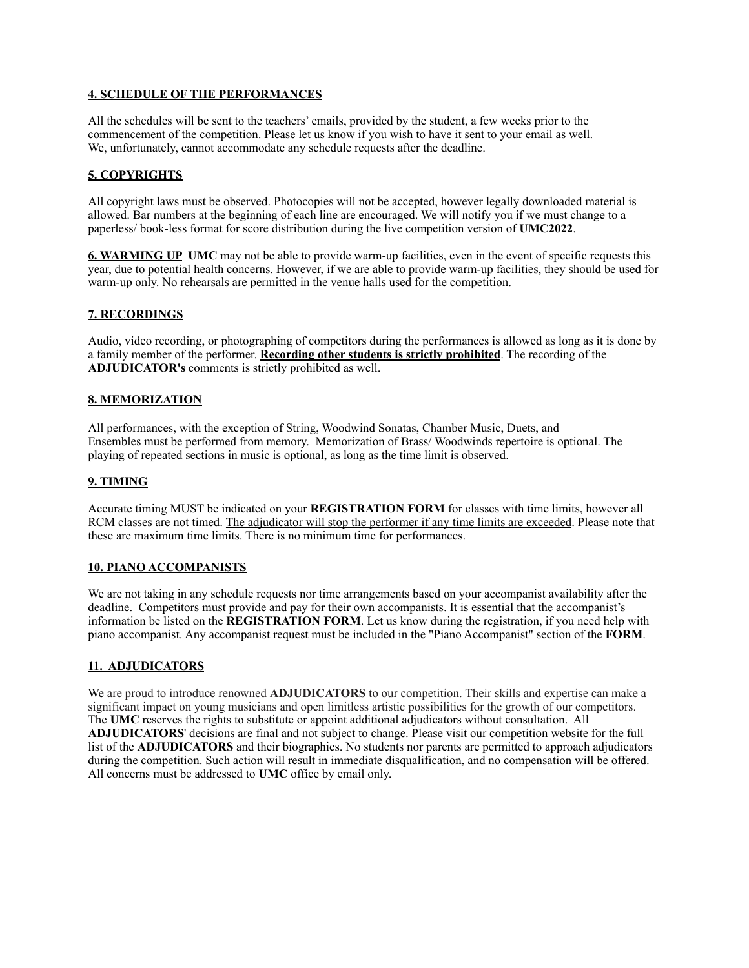## **4. SCHEDULE OF THE PERFORMANCES**

All the schedules will be sent to the teachers' emails, provided by the student, a few weeks prior to the commencement of the competition. Please let us know if you wish to have it sent to your email as well. We, unfortunately, cannot accommodate any schedule requests after the deadline.

# **5. COPYRIGHTS**

All copyright laws must be observed. Photocopies will not be accepted, however legally downloaded material is allowed. Bar numbers at the beginning of each line are encouraged. We will notify you if we must change to a paperless/ book-less format for score distribution during the live competition version of **UMC2022**.

**6. WARMING UP UMC** may not be able to provide warm-up facilities, even in the event of specific requests this year, due to potential health concerns. However, if we are able to provide warm-up facilities, they should be used for warm-up only. No rehearsals are permitted in the venue halls used for the competition.

### **7. RECORDINGS**

Audio, video recording, or photographing of competitors during the performances is allowed as long as it is done by a family member of the performer. **Recording other students is strictly prohibited**. The recording of the **ADJUDICATOR's** comments is strictly prohibited as well.

### **8. MEMORIZATION**

All performances, with the exception of String, Woodwind Sonatas, Chamber Music, Duets, and Ensembles must be performed from memory. Memorization of Brass/ Woodwinds repertoire is optional. The playing of repeated sections in music is optional, as long as the time limit is observed.

#### **9. TIMING**

Accurate timing MUST be indicated on your **REGISTRATION FORM** for classes with time limits, however all RCM classes are not timed. The adjudicator will stop the performer if any time limits are exceeded. Please note that these are maximum time limits. There is no minimum time for performances.

### **10. PIANO ACCOMPANISTS**

We are not taking in any schedule requests nor time arrangements based on your accompanist availability after the deadline. Competitors must provide and pay for their own accompanists. It is essential that the accompanist's information be listed on the **REGISTRATION FORM**. Let us know during the registration, if you need help with piano accompanist. Any accompanist request must be included in the "Piano Accompanist" section of the **FORM**.

### **11. ADJUDICATORS**

We are proud to introduce renowned **ADJUDICATORS** to our competition. Their skills and expertise can make a significant impact on young musicians and open limitless artistic possibilities for the growth of our competitors. The **UMC** reserves the rights to substitute or appoint additional adjudicators without consultation. All **ADJUDICATORS**' decisions are final and not subject to change. Please visit our competition website for the full list of the **ADJUDICATORS** and their biographies. No students nor parents are permitted to approach adjudicators during the competition. Such action will result in immediate disqualification, and no compensation will be offered. All concerns must be addressed to **UMC** office by email only.